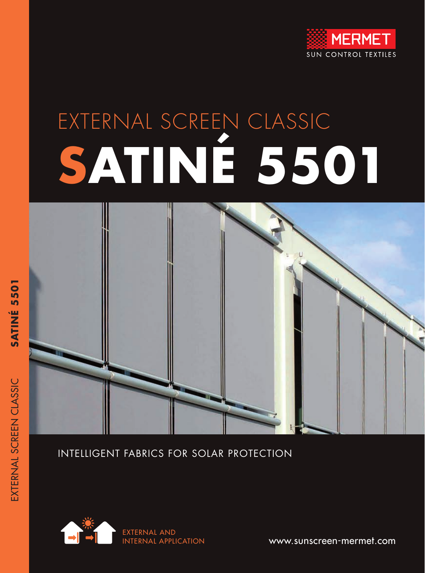

# EXTERNAL SCREEN CLASSIC **SATINÉ 5501**



INTELLIGENT FABRICS FOR SOLAR PROTECTION



www.sunscreen-mermet.com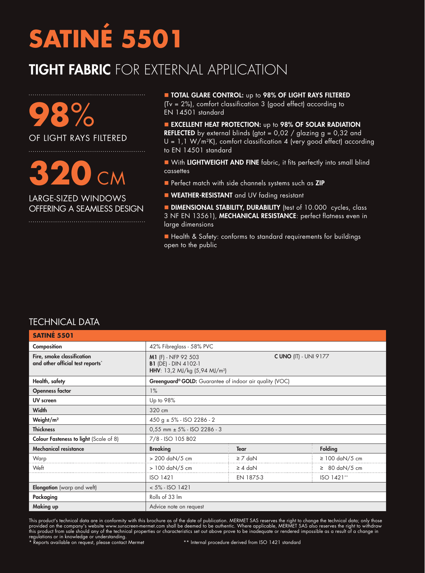#### TIGHT FABRIC FOR EXTERNAL APPLICATION

**98**% OF LIGHT RAYS FILTERED

## **320** CM

LARGE-SIZED WINDOWS OFFERING A SEAMLESS DESIGN

**DE TOTAL GLARE CONTROL:** up to 98% OF LIGHT RAYS FILTERED (Tv = 2%), comfort classification 3 (good effect) according to EN 14501 standard

**EXCELLENT HEAT PROTECTION:** up to 98% OF SOLAR RADIATION **REFLECTED** by external blinds (gtot =  $0.02$  / glazing  $g = 0.32$  and  $U = 1,1 W/m^2K$ , comfort classification 4 (very good effect) according to EN 14501 standard

- **No With LIGHTWEIGHT AND FINE** fabric, it fits perfectly into small blind cassettes
- **n** Perfect match with side channels systems such as ZIP
- **NEATHER-RESISTANT** and UV fading resistant

**DIMENSIONAL STABILITY, DURABILITY** (test of 10.000 cycles, class 3 NF EN 13561), MECHANICAL RESISTANCE: perfect flatness even in large dimensions

■ Health & Safety: conforms to standard requirements for buildings open to the public

#### TECHNICAL DATA

| <b>SATINÉ 5501</b>                                             |                                                                                                                                 |              |  |                                    |  |  |
|----------------------------------------------------------------|---------------------------------------------------------------------------------------------------------------------------------|--------------|--|------------------------------------|--|--|
| Composition                                                    | 42% Fibreglass - 58% PVC                                                                                                        |              |  |                                    |  |  |
| Fire, smoke classification<br>and other official test reports* | <b>C UNO (IT) - UNI 9177</b><br>M1 (F) - NFP 92 503<br><b>B1</b> (DE) - DIN 4102-1<br>HHV: 13,2 MJ/kg (5,94 MJ/m <sup>2</sup> ) |              |  |                                    |  |  |
| Health, safety                                                 | Greenguard® GOLD: Guarantee of indoor air quality (VOC)                                                                         |              |  |                                    |  |  |
| <b>Openness factor</b>                                         | $1\%$                                                                                                                           |              |  |                                    |  |  |
| UV screen                                                      | Up to 98%                                                                                                                       |              |  |                                    |  |  |
| <b>Width</b>                                                   | 320 cm                                                                                                                          |              |  |                                    |  |  |
| Weight/m <sup>2</sup>                                          | $450 g \pm 5\%$ - ISO 2286 - 2                                                                                                  |              |  |                                    |  |  |
| <b>Thickness</b>                                               | $0,55$ mm $\pm$ 5% - ISO 2286 - 3                                                                                               |              |  |                                    |  |  |
| Colour Fasteness to light (Scale of 8)                         | 7/8 - ISO 105 B02                                                                                                               |              |  |                                    |  |  |
| <b>Mechanical resistance</b>                                   | <b>Breaking</b>                                                                                                                 | <b>Tear</b>  |  | <b>Folding</b>                     |  |  |
| Warp                                                           | > 200 daN/5 cm                                                                                                                  | $\geq 7$ daN |  | $\geq 100$ daN/5 cm                |  |  |
| Weft                                                           | > 100 daN/5 cm                                                                                                                  | $\geq 4$ daN |  | $\geq 80 \text{ daN}/5 \text{ cm}$ |  |  |
|                                                                | <b>ISO 1421</b>                                                                                                                 | EN 1875-3    |  | ISO 1421**                         |  |  |
| Elongation (warp and weft)                                     | $< 5\% - ISO 1421$                                                                                                              |              |  |                                    |  |  |
| Packaging                                                      | Rolls of 33 Im                                                                                                                  |              |  |                                    |  |  |
| Making up                                                      | Advice note on request                                                                                                          |              |  |                                    |  |  |

This product's technical data are in conformity with this brochure as of the date of publication. MERMET SAS reserves the right to change the technical data; only those provided on the company's website www.sunscreen-mermet.com shall be deemed to be authentic. Where applicable, MERMET SAS also reserves the right to withdraw this product from sale should any of the technical properties or characteristics set out above prove to be inadequate or rendered impossible as a result of a change in regulations or in knowledge or understanding.<br>\* Reports available on request, please contact Mermet \*\* Internal procedure derived from ISO 1421 standard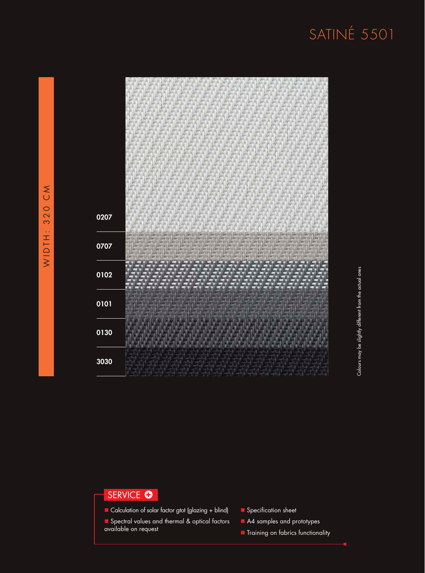| 207 |                                                                                                                                                                                                       |                                                                |  |                              |                                                                                         |  |
|-----|-------------------------------------------------------------------------------------------------------------------------------------------------------------------------------------------------------|----------------------------------------------------------------|--|------------------------------|-----------------------------------------------------------------------------------------|--|
| 707 | <b>PERMITTE</b><br>10733<br>se per le perse perse perse perse perse perse perse perse perse personal<br>LENGTH ENGIN ENGINEERING ENGINEERING ENGINEERING ENGINEERING<br><b>JAY SITE OF SITE OF ST</b> | 284.21<br>19973<br><b>LEACHER SELECTED SERVICE AND SERVICE</b> |  | LEAR SILE EAST SILE EAST SIL | 1.8973<br>IN DINTER OR THE RESERVED FOR THE DISTRIBUTION OF THE DISTRIBUTION OF THE SET |  |
| 102 |                                                                                                                                                                                                       |                                                                |  |                              |                                                                                         |  |
| 101 |                                                                                                                                                                                                       |                                                                |  |                              |                                                                                         |  |
| 130 |                                                                                                                                                                                                       |                                                                |  |                              |                                                                                         |  |
| 030 |                                                                                                                                                                                                       |                                                                |  |                              |                                                                                         |  |

Colours may be slightly different from the actual ones

Colours may be slightly different from the actual ones

#### SERVICE O

- n Calculation of solar factor gtot (glazing + blind)
- **n** Spectral values and thermal & optical factors available on request
- **n** Specification sheet
- A4 samples and prototypes
- **n** Training on fabrics functionality

 $\overline{0}$ 

 $\overline{0}$ 

 $\mathbf 0$ 

 $\overline{0}$ 

 $\mathbf 0$ 

3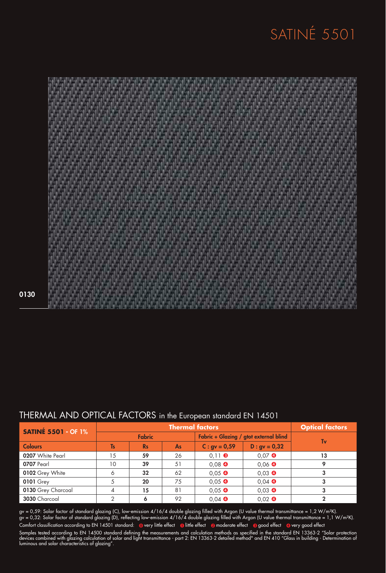

0130

#### THERMAL AND OPTICAL FACTORS in the European standard EN 14501

| <b>SATINÉ 5501 - OF 1%</b> | <b>Thermal factors</b> |           |                                        |                  | <b>Optical factors</b> |    |  |
|----------------------------|------------------------|-----------|----------------------------------------|------------------|------------------------|----|--|
|                            | <b>Fabric</b>          |           | Fabric + Glazing / gtot external blind |                  | Tv                     |    |  |
| <b>Colours</b>             | <b>Ts</b>              | <b>Rs</b> | <b>As</b>                              | $C:$ gv = 0,59   | $D : gv = 0,32$        |    |  |
| 0207 White Pearl           | 15                     | 59        | 26                                     | $0.11$ $\odot$   | $0.07$ $\bullet$       | 13 |  |
| 0707 Pearl                 | 10                     | 39        | 51                                     | $0.08$ $\bullet$ | $0.06$ $\bullet$       |    |  |
| 0102 Grey White            | 6                      | 32        | 62                                     | $0.05$ $\bullet$ | $0,03$ $\bullet$       |    |  |
| <b>0101 Grey</b>           |                        | 20        | 75                                     | $0,05$ $\bullet$ | $0,04$ $\bullet$       |    |  |
| 0130 Grey Charcoal         | 4                      | 15        | 81                                     | $0,05$ $\bullet$ | $0,03$ $\bullet$       |    |  |
| 3030 Charcoal              |                        |           | 92                                     | $0.04$ $\bullet$ | $0,02$ $\bullet$       |    |  |

gv = 0,59: Solar factor of standard glazing (C), low-emission 4/16/4 double glazing filled with Argon (U value thermal transmittance = 1,2 W/m²K). gv = 0,32: Solar factor of standard glazing (D), reflecting low-emission 4/16/4 double glazing filled with Argon (U value thermal transmittance = 1,1 W/m²K). Samples tested according to EN 14500 standard defining the measurements and calculation methods as specified in the standard EN 13363-2 "Solar protection devices combined with glazing calculation of solar and light transmittance - part 2: EN 13363-2 detailed method" and EN 410 "Glass in building - Determination of luminous and solar characteristics of glazing". Comfort classification according to EN 14501 standard: @very little effect @little effect @moderate effect @good effect @very good effect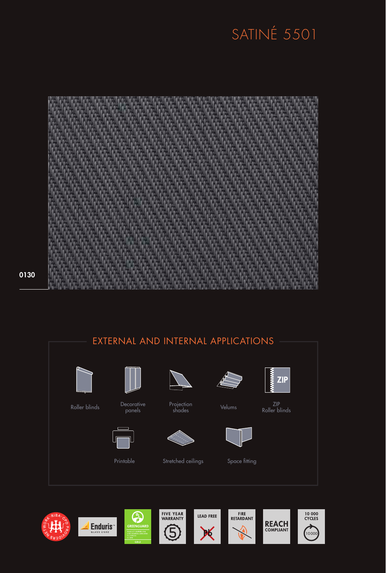

0130









t certified for